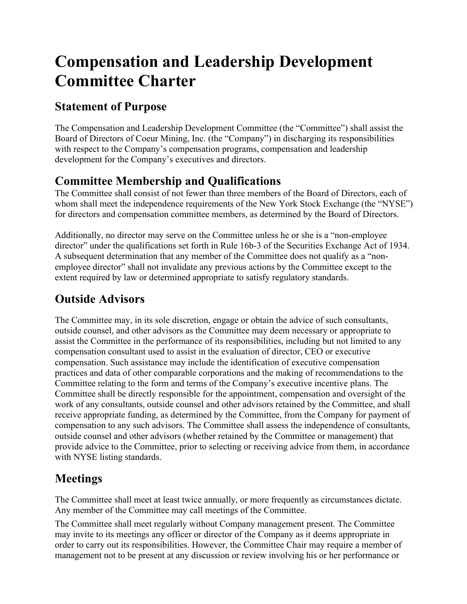# **Compensation and Leadership Development Committee Charter**

#### **Statement of Purpose**

The Compensation and Leadership Development Committee (the "Committee") shall assist the Board of Directors of Coeur Mining, Inc. (the "Company") in discharging its responsibilities with respect to the Company's compensation programs, compensation and leadership development for the Company's executives and directors.

### **Committee Membership and Qualifications**

The Committee shall consist of not fewer than three members of the Board of Directors, each of whom shall meet the independence requirements of the New York Stock Exchange (the "NYSE") for directors and compensation committee members, as determined by the Board of Directors.

Additionally, no director may serve on the Committee unless he or she is a "non-employee director" under the qualifications set forth in Rule 16b-3 of the Securities Exchange Act of 1934. A subsequent determination that any member of the Committee does not qualify as a "nonemployee director" shall not invalidate any previous actions by the Committee except to the extent required by law or determined appropriate to satisfy regulatory standards.

### **Outside Advisors**

The Committee may, in its sole discretion, engage or obtain the advice of such consultants, outside counsel, and other advisors as the Committee may deem necessary or appropriate to assist the Committee in the performance of its responsibilities, including but not limited to any compensation consultant used to assist in the evaluation of director, CEO or executive compensation. Such assistance may include the identification of executive compensation practices and data of other comparable corporations and the making of recommendations to the Committee relating to the form and terms of the Company's executive incentive plans. The Committee shall be directly responsible for the appointment, compensation and oversight of the work of any consultants, outside counsel and other advisors retained by the Committee, and shall receive appropriate funding, as determined by the Committee, from the Company for payment of compensation to any such advisors. The Committee shall assess the independence of consultants, outside counsel and other advisors (whether retained by the Committee or management) that provide advice to the Committee, prior to selecting or receiving advice from them, in accordance with NYSE listing standards.

## **Meetings**

The Committee shall meet at least twice annually, or more frequently as circumstances dictate. Any member of the Committee may call meetings of the Committee.

The Committee shall meet regularly without Company management present. The Committee may invite to its meetings any officer or director of the Company as it deems appropriate in order to carry out its responsibilities. However, the Committee Chair may require a member of management not to be present at any discussion or review involving his or her performance or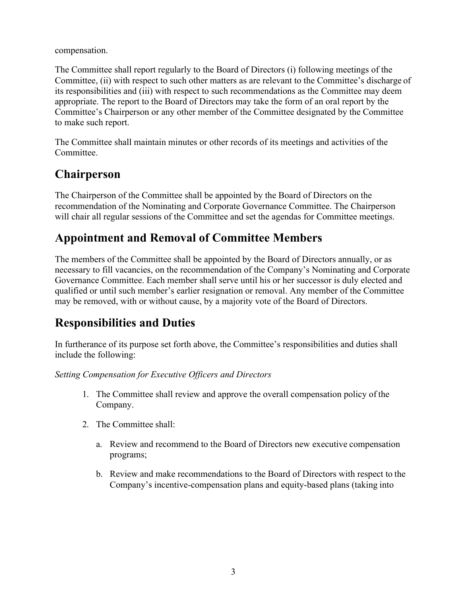compensation.

The Committee shall report regularly to the Board of Directors (i) following meetings of the Committee, (ii) with respect to such other matters as are relevant to the Committee's discharge of its responsibilities and (iii) with respect to such recommendations as the Committee may deem appropriate. The report to the Board of Directors may take the form of an oral report by the Committee's Chairperson or any other member of the Committee designated by the Committee to make such report.

The Committee shall maintain minutes or other records of its meetings and activities of the Committee.

#### **Chairperson**

The Chairperson of the Committee shall be appointed by the Board of Directors on the recommendation of the Nominating and Corporate Governance Committee. The Chairperson will chair all regular sessions of the Committee and set the agendas for Committee meetings.

#### **Appointment and Removal of Committee Members**

The members of the Committee shall be appointed by the Board of Directors annually, or as necessary to fill vacancies, on the recommendation of the Company's Nominating and Corporate Governance Committee. Each member shall serve until his or her successor is duly elected and qualified or until such member's earlier resignation or removal. Any member of the Committee may be removed, with or without cause, by a majority vote of the Board of Directors.

### **Responsibilities and Duties**

In furtherance of its purpose set forth above, the Committee's responsibilities and duties shall include the following:

*Setting Compensation for Executive Officers and Directors*

- 1. The Committee shall review and approve the overall compensation policy of the Company.
- 2. The Committee shall:
	- a. Review and recommend to the Board of Directors new executive compensation programs;
	- b. Review and make recommendations to the Board of Directors with respect to the Company's incentive-compensation plans and equity-based plans (taking into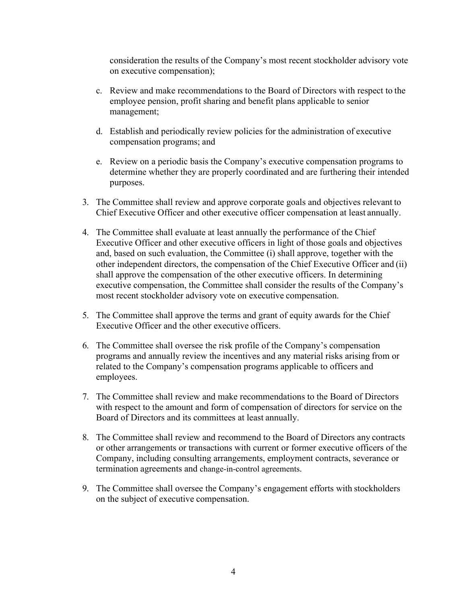consideration the results of the Company's most recent stockholder advisory vote on executive compensation);

- c. Review and make recommendations to the Board of Directors with respect to the employee pension, profit sharing and benefit plans applicable to senior management;
- d. Establish and periodically review policies for the administration of executive compensation programs; and
- e. Review on a periodic basis the Company's executive compensation programs to determine whether they are properly coordinated and are furthering their intended purposes.
- 3. The Committee shall review and approve corporate goals and objectives relevant to Chief Executive Officer and other executive officer compensation at least annually.
- 4. The Committee shall evaluate at least annually the performance of the Chief Executive Officer and other executive officers in light of those goals and objectives and, based on such evaluation, the Committee (i) shall approve, together with the other independent directors, the compensation of the Chief Executive Officer and (ii) shall approve the compensation of the other executive officers. In determining executive compensation, the Committee shall consider the results of the Company's most recent stockholder advisory vote on executive compensation.
- 5. The Committee shall approve the terms and grant of equity awards for the Chief Executive Officer and the other executive officers.
- 6. The Committee shall oversee the risk profile of the Company's compensation programs and annually review the incentives and any material risks arising from or related to the Company's compensation programs applicable to officers and employees.
- 7. The Committee shall review and make recommendations to the Board of Directors with respect to the amount and form of compensation of directors for service on the Board of Directors and its committees at least annually.
- 8. The Committee shall review and recommend to the Board of Directors any contracts or other arrangements or transactions with current or former executive officers of the Company, including consulting arrangements, employment contracts, severance or termination agreements and change-in-control agreements.
- 9. The Committee shall oversee the Company's engagement efforts with stockholders on the subject of executive compensation.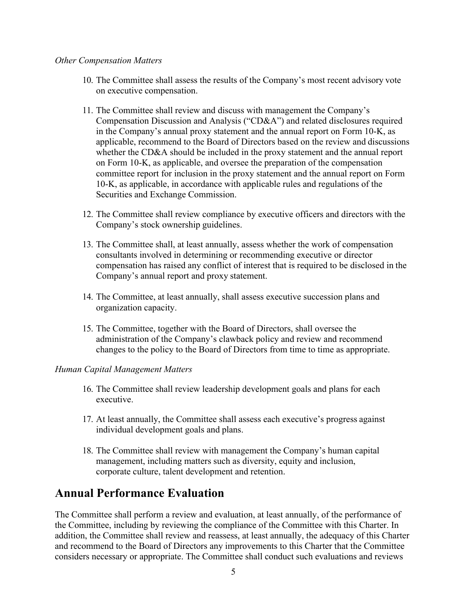#### *Other Compensation Matters*

- 10. The Committee shall assess the results of the Company's most recent advisory vote on executive compensation.
- 11. The Committee shall review and discuss with management the Company's Compensation Discussion and Analysis ("CD&A") and related disclosures required in the Company's annual proxy statement and the annual report on Form 10-K, as applicable, recommend to the Board of Directors based on the review and discussions whether the CD&A should be included in the proxy statement and the annual report on Form 10-K, as applicable, and oversee the preparation of the compensation committee report for inclusion in the proxy statement and the annual report on Form 10-K, as applicable, in accordance with applicable rules and regulations of the Securities and Exchange Commission.
- 12. The Committee shall review compliance by executive officers and directors with the Company's stock ownership guidelines.
- 13. The Committee shall, at least annually, assess whether the work of compensation consultants involved in determining or recommending executive or director compensation has raised any conflict of interest that is required to be disclosed in the Company's annual report and proxy statement.
- 14. The Committee, at least annually, shall assess executive succession plans and organization capacity.
- 15. The Committee, together with the Board of Directors, shall oversee the administration of the Company's clawback policy and review and recommend changes to the policy to the Board of Directors from time to time as appropriate.

#### *Human Capital Management Matters*

- 16. The Committee shall review leadership development goals and plans for each executive.
- 17. At least annually, the Committee shall assess each executive's progress against individual development goals and plans.
- 18. The Committee shall review with management the Company's human capital management, including matters such as diversity, equity and inclusion, corporate culture, talent development and retention.

#### **Annual Performance Evaluation**

The Committee shall perform a review and evaluation, at least annually, of the performance of the Committee, including by reviewing the compliance of the Committee with this Charter. In addition, the Committee shall review and reassess, at least annually, the adequacy of this Charter and recommend to the Board of Directors any improvements to this Charter that the Committee considers necessary or appropriate. The Committee shall conduct such evaluations and reviews